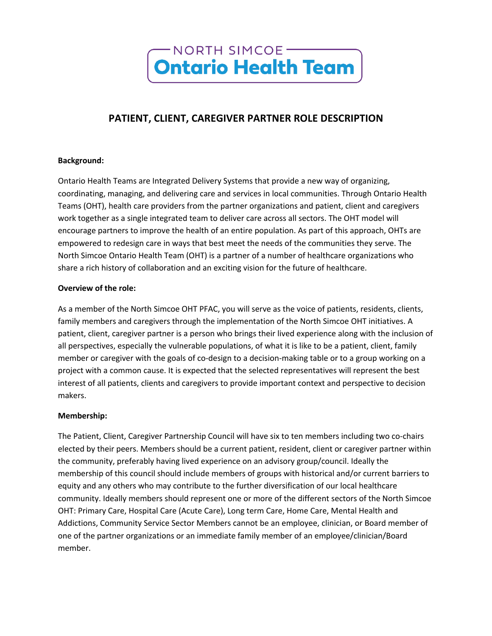

# **PATIENT, CLIENT, CAREGIVER PARTNER ROLE DESCRIPTION**

#### **Background:**

Ontario Health Teams are Integrated Delivery Systems that provide a new way of organizing, coordinating, managing, and delivering care and services in local communities. Through Ontario Health Teams (OHT), health care providers from the partner organizations and patient, client and caregivers work together as a single integrated team to deliver care across all sectors. The OHT model will encourage partners to improve the health of an entire population. As part of this approach, OHTs are empowered to redesign care in ways that best meet the needs of the communities they serve. The North Simcoe Ontario Health Team (OHT) is a partner of a number of healthcare organizations who share a rich history of collaboration and an exciting vision for the future of healthcare.

#### **Overview of the role:**

As a member of the North Simcoe OHT PFAC, you will serve as the voice of patients, residents, clients, family members and caregivers through the implementation of the North Simcoe OHT initiatives. A patient, client, caregiver partner is a person who brings their lived experience along with the inclusion of all perspectives, especially the vulnerable populations, of what it is like to be a patient, client, family member or caregiver with the goals of co-design to a decision-making table or to a group working on a project with a common cause. It is expected that the selected representatives will represent the best interest of all patients, clients and caregivers to provide important context and perspective to decision makers.

#### **Membership:**

The Patient, Client, Caregiver Partnership Council will have six to ten members including two co-chairs elected by their peers. Members should be a current patient, resident, client or caregiver partner within the community, preferably having lived experience on an advisory group/council. Ideally the membership of this council should include members of groups with historical and/or current barriers to equity and any others who may contribute to the further diversification of our local healthcare community. Ideally members should represent one or more of the different sectors of the North Simcoe OHT: Primary Care, Hospital Care (Acute Care), Long term Care, Home Care, Mental Health and Addictions, Community Service Sector Members cannot be an employee, clinician, or Board member of one of the partner organizations or an immediate family member of an employee/clinician/Board member.